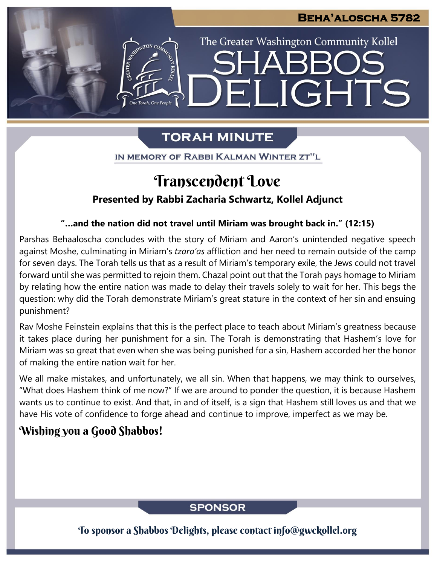LIGHTS

The Greater Washington Community Kollel

# **TORAH MINUTE**

FI

IN MEMORY OF RABBI KALMAN WINTER ZT"L

# Transcendent Love

## **Presented by Rabbi Zacharia Schwartz, Kollel Adjunct**

### **"…and the nation did not travel until Miriam was brought back in." (12:15)**

Parshas Behaaloscha concludes with the story of Miriam and Aaron's unintended negative speech against Moshe, culminating in Miriam's *tzara'as* affliction and her need to remain outside of the camp for seven days. The Torah tells us that as a result of Miriam's temporary exile, the Jews could not travel forward until she was permitted to rejoin them. Chazal point out that the Torah pays homage to Miriam by relating how the entire nation was made to delay their travels solely to wait for her. This begs the question: why did the Torah demonstrate Miriam's great stature in the context of her sin and ensuing punishment?

Rav Moshe Feinstein explains that this is the perfect place to teach about Miriam's greatness because it takes place during her punishment for a sin. The Torah is demonstrating that Hashem's love for Miriam was so great that even when she was being punished for a sin, Hashem accorded her the honor of making the entire nation wait for her.

We all make mistakes, and unfortunately, we all sin. When that happens, we may think to ourselves, "What does Hashem think of me now?" If we are around to ponder the question, it is because Hashem wants us to continue to exist. And that, in and of itself, is a sign that Hashem still loves us and that we have His vote of confidence to forge ahead and continue to improve, imperfect as we may be.

# Wishing you a Good Shabbos!

## **SPONSOR**

To sponsor a Shabbos Delights, please contact info@gwckollel.org